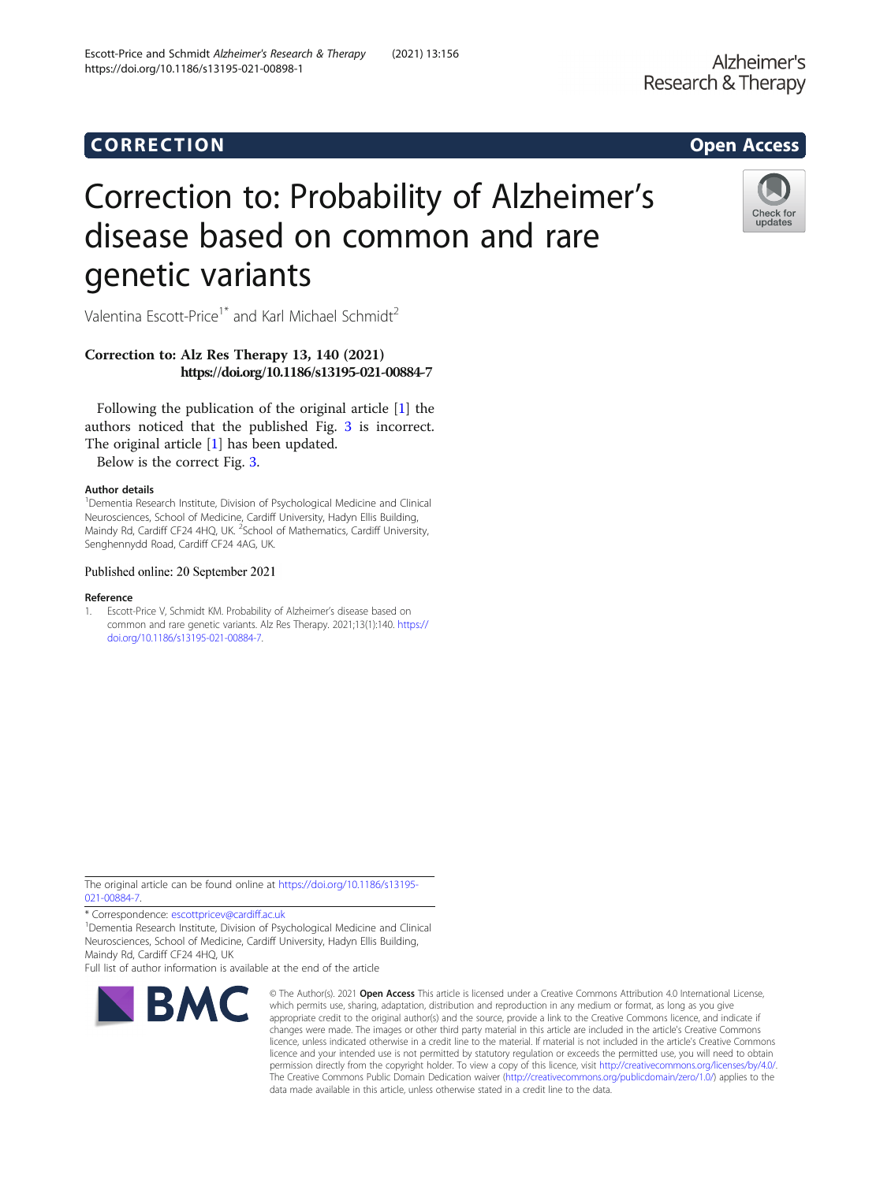# Correction to: Probability of Alzheimer's disease based on common and rare genetic variants

Valentina Escott-Price<sup>1\*</sup> and Karl Michael Schmidt<sup>2</sup>

## Correction to: Alz Res Therapy 13, 140 (2021) https://doi.org/10.1186/s13195-021-00884-7

Following the publication of the original article [1] the authors noticed that the published Fig. [3](#page-1-0) is incorrect. The original article [1] has been updated.

Below is the correct Fig. [3.](#page-1-0)

### Author details

<sup>1</sup>Dementia Research Institute, Division of Psychological Medicine and Clinical Neurosciences, School of Medicine, Cardiff University, Hadyn Ellis Building, Maindy Rd, Cardiff CF24 4HQ, UK. <sup>2</sup>School of Mathematics, Cardiff University, Senghennydd Road, Cardiff CF24 4AG, UK.

#### Published online: 20 September 2021

#### Reference

1. Escott-Price V, Schmidt KM. Probability of Alzheimer's disease based on common and rare genetic variants. Alz Res Therapy. 2021;13(1):140. [https://](https://doi.org/10.1186/s13195-021-00884-7) [doi.org/10.1186/s13195-021-00884-7.](https://doi.org/10.1186/s13195-021-00884-7)

The original article can be found online at [https://doi.org/10.1186/s13195-](https://doi.org/10.1186/s13195-021-00884-7) [021-00884-7](https://doi.org/10.1186/s13195-021-00884-7).

\* Correspondence: [escottpricev@cardiff.ac.uk](mailto:escottpricev@cardiff.ac.uk) <sup>1</sup>

**RMC** 

<sup>1</sup>Dementia Research Institute, Division of Psychological Medicine and Clinical Neurosciences, School of Medicine, Cardiff University, Hadyn Ellis Building, Maindy Rd, Cardiff CF24 4HQ, UK

Full list of author information is available at the end of the article

which permits use, sharing, adaptation, distribution and reproduction in any medium or format, as long as you give appropriate credit to the original author(s) and the source, provide a link to the Creative Commons licence, and indicate if changes were made. The images or other third party material in this article are included in the article's Creative Commons licence, unless indicated otherwise in a credit line to the material. If material is not included in the article's Creative Commons licence and your intended use is not permitted by statutory regulation or exceeds the permitted use, you will need to obtain permission directly from the copyright holder. To view a copy of this licence, visit [http://creativecommons.org/licenses/by/4.0/.](http://creativecommons.org/licenses/by/4.0/) The Creative Commons Public Domain Dedication waiver [\(http://creativecommons.org/publicdomain/zero/1.0/](http://creativecommons.org/publicdomain/zero/1.0/)) applies to the data made available in this article, unless otherwise stated in a credit line to the data.

© The Author(s), 2021 **Open Access** This article is licensed under a Creative Commons Attribution 4.0 International License,